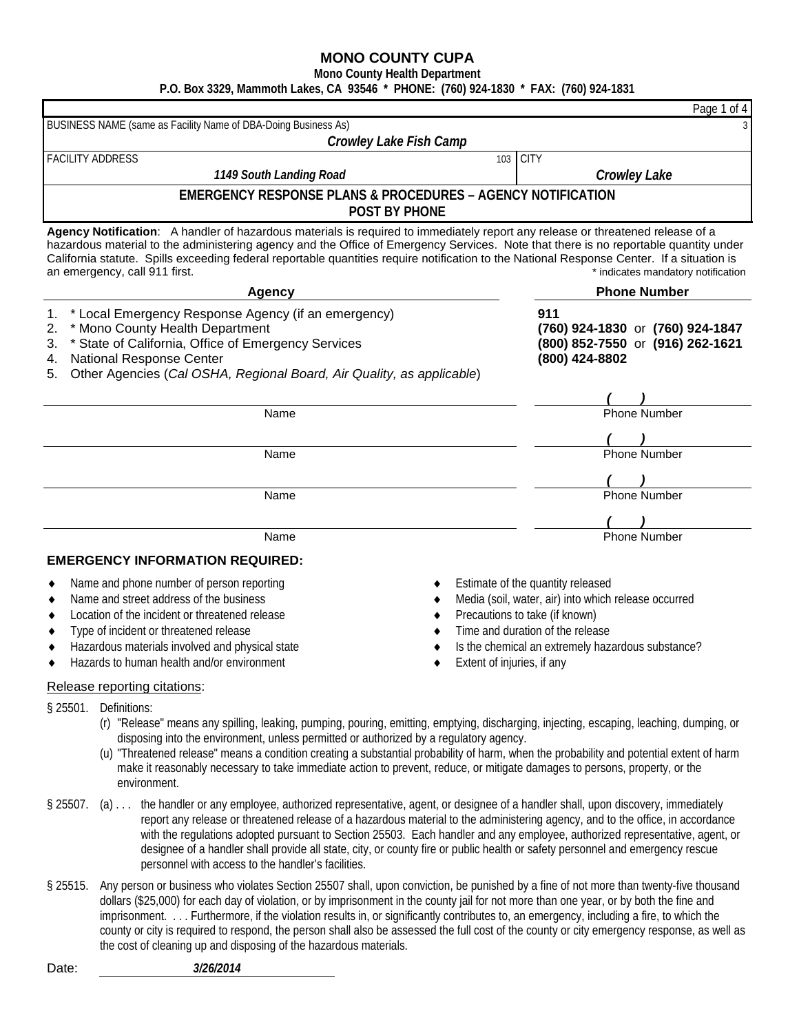**Mono County Health Department**

**P.O. Box 3329, Mammoth Lakes, CA 93546 \* PHONE: (760) 924-1830 \* FAX: (760) 924-1831**

|                                                                                                                                                                                                                                                                                                                                                                                                                                                       | Page 1 of 4                                                                                                                                                                                                                                        |
|-------------------------------------------------------------------------------------------------------------------------------------------------------------------------------------------------------------------------------------------------------------------------------------------------------------------------------------------------------------------------------------------------------------------------------------------------------|----------------------------------------------------------------------------------------------------------------------------------------------------------------------------------------------------------------------------------------------------|
| BUSINESS NAME (same as Facility Name of DBA-Doing Business As)                                                                                                                                                                                                                                                                                                                                                                                        |                                                                                                                                                                                                                                                    |
| Crowley Lake Fish Camp                                                                                                                                                                                                                                                                                                                                                                                                                                |                                                                                                                                                                                                                                                    |
| <b>FACILITY ADDRESS</b>                                                                                                                                                                                                                                                                                                                                                                                                                               | <b>CITY</b><br>103                                                                                                                                                                                                                                 |
| 1149 South Landing Road                                                                                                                                                                                                                                                                                                                                                                                                                               | <b>Crowley Lake</b>                                                                                                                                                                                                                                |
| <b>EMERGENCY RESPONSE PLANS &amp; PROCEDURES - AGENCY NOTIFICATION</b><br><b>POST BY PHONE</b>                                                                                                                                                                                                                                                                                                                                                        |                                                                                                                                                                                                                                                    |
| Agency Notification: A handler of hazardous materials is required to immediately report any release or threatened release of a<br>hazardous material to the administering agency and the Office of Emergency Services. Note that there is no reportable quantity under<br>California statute. Spills exceeding federal reportable quantities require notification to the National Response Center. If a situation is<br>an emergency, call 911 first. | * indicates mandatory notification                                                                                                                                                                                                                 |
| <b>Agency</b>                                                                                                                                                                                                                                                                                                                                                                                                                                         | <b>Phone Number</b>                                                                                                                                                                                                                                |
| * Local Emergency Response Agency (if an emergency)<br>1.<br>* Mono County Health Department<br>2.<br>* State of California, Office of Emergency Services<br>3.<br>National Response Center<br>4.<br>Other Agencies (Cal OSHA, Regional Board, Air Quality, as applicable)<br>5.                                                                                                                                                                      | 911<br>(760) 924-1830 or (760) 924-1847<br>(800) 852-7550 or (916) 262-1621<br>(800) 424-8802                                                                                                                                                      |
|                                                                                                                                                                                                                                                                                                                                                                                                                                                       |                                                                                                                                                                                                                                                    |
| Name                                                                                                                                                                                                                                                                                                                                                                                                                                                  | <b>Phone Number</b>                                                                                                                                                                                                                                |
| Name                                                                                                                                                                                                                                                                                                                                                                                                                                                  | <b>Phone Number</b>                                                                                                                                                                                                                                |
|                                                                                                                                                                                                                                                                                                                                                                                                                                                       |                                                                                                                                                                                                                                                    |
| Name                                                                                                                                                                                                                                                                                                                                                                                                                                                  | <b>Phone Number</b>                                                                                                                                                                                                                                |
|                                                                                                                                                                                                                                                                                                                                                                                                                                                       |                                                                                                                                                                                                                                                    |
|                                                                                                                                                                                                                                                                                                                                                                                                                                                       |                                                                                                                                                                                                                                                    |
| Name                                                                                                                                                                                                                                                                                                                                                                                                                                                  | <b>Phone Number</b>                                                                                                                                                                                                                                |
| <b>EMERGENCY INFORMATION REQUIRED:</b>                                                                                                                                                                                                                                                                                                                                                                                                                |                                                                                                                                                                                                                                                    |
| Name and phone number of person reporting<br>Name and street address of the business<br>Location of the incident or threatened release<br>Type of incident or threatened release<br>Hazardous materials involved and physical state<br>Hazards to human health and/or environment                                                                                                                                                                     | Estimate of the quantity released<br>Media (soil, water, air) into which release occurred<br>Precautions to take (if known)<br>Time and duration of the release<br>Is the chemical an extremely hazardous substance?<br>Extent of injuries, if any |

#### Release reporting citations:

- § 25501. Definitions:
	- (r) "Release" means any spilling, leaking, pumping, pouring, emitting, emptying, discharging, injecting, escaping, leaching, dumping, or disposing into the environment, unless permitted or authorized by a regulatory agency.
	- (u) "Threatened release" means a condition creating a substantial probability of harm, when the probability and potential extent of harm make it reasonably necessary to take immediate action to prevent, reduce, or mitigate damages to persons, property, or the environment.
- § 25507. (a) . . . the handler or any employee, authorized representative, agent, or designee of a handler shall, upon discovery, immediately report any release or threatened release of a hazardous material to the administering agency, and to the office, in accordance with the regulations adopted pursuant to Section 25503. Each handler and any employee, authorized representative, agent, or designee of a handler shall provide all state, city, or county fire or public health or safety personnel and emergency rescue personnel with access to the handler's facilities.
- § 25515. Any person or business who violates Section 25507 shall, upon conviction, be punished by a fine of not more than twenty-five thousand dollars (\$25,000) for each day of violation, or by imprisonment in the county jail for not more than one year, or by both the fine and imprisonment. . . . Furthermore, if the violation results in, or significantly contributes to, an emergency, including a fire, to which the county or city is required to respond, the person shall also be assessed the full cost of the county or city emergency response, as well as the cost of cleaning up and disposing of the hazardous materials.

| Date: | 3/26/2014 |
|-------|-----------|
|       |           |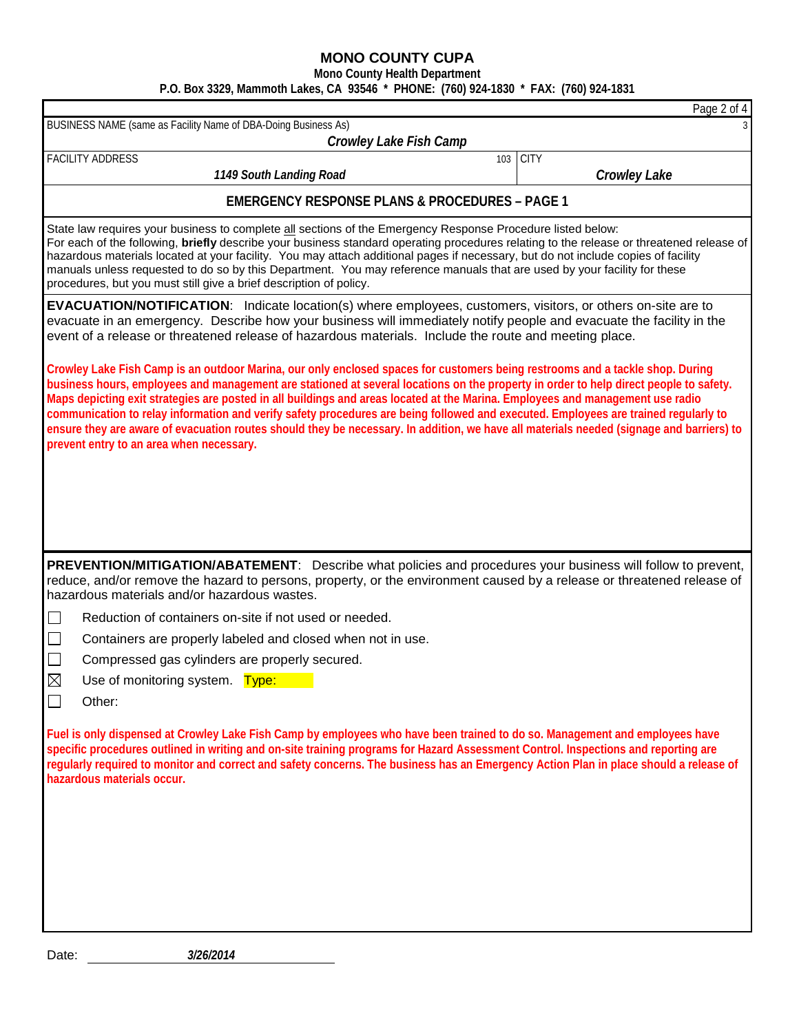**Mono County Health Department**

**P.O. Box 3329, Mammoth Lakes, CA 93546 \* PHONE: (760) 924-1830 \* FAX: (760) 924-1831**

|                                                                                                                                                                                                                                                                                                                                                                                                                                                                                                                                                                                                                                                                                                                                         | Page 2 of 4         |  |  |  |
|-----------------------------------------------------------------------------------------------------------------------------------------------------------------------------------------------------------------------------------------------------------------------------------------------------------------------------------------------------------------------------------------------------------------------------------------------------------------------------------------------------------------------------------------------------------------------------------------------------------------------------------------------------------------------------------------------------------------------------------------|---------------------|--|--|--|
| BUSINESS NAME (same as Facility Name of DBA-Doing Business As)                                                                                                                                                                                                                                                                                                                                                                                                                                                                                                                                                                                                                                                                          |                     |  |  |  |
| Crowley Lake Fish Camp                                                                                                                                                                                                                                                                                                                                                                                                                                                                                                                                                                                                                                                                                                                  |                     |  |  |  |
| <b>FACILITY ADDRESS</b><br>103                                                                                                                                                                                                                                                                                                                                                                                                                                                                                                                                                                                                                                                                                                          | <b>CITY</b>         |  |  |  |
| 1149 South Landing Road                                                                                                                                                                                                                                                                                                                                                                                                                                                                                                                                                                                                                                                                                                                 | <b>Crowley Lake</b> |  |  |  |
| <b>EMERGENCY RESPONSE PLANS &amp; PROCEDURES - PAGE 1</b>                                                                                                                                                                                                                                                                                                                                                                                                                                                                                                                                                                                                                                                                               |                     |  |  |  |
| State law requires your business to complete all sections of the Emergency Response Procedure listed below:<br>For each of the following, briefly describe your business standard operating procedures relating to the release or threatened release of<br>hazardous materials located at your facility. You may attach additional pages if necessary, but do not include copies of facility<br>manuals unless requested to do so by this Department. You may reference manuals that are used by your facility for these<br>procedures, but you must still give a brief description of policy.                                                                                                                                          |                     |  |  |  |
| <b>EVACUATION/NOTIFICATION:</b> Indicate location(s) where employees, customers, visitors, or others on-site are to<br>evacuate in an emergency. Describe how your business will immediately notify people and evacuate the facility in the<br>event of a release or threatened release of hazardous materials. Include the route and meeting place.                                                                                                                                                                                                                                                                                                                                                                                    |                     |  |  |  |
| Crowley Lake Fish Camp is an outdoor Marina, our only enclosed spaces for customers being restrooms and a tackle shop. During<br>business hours, employees and management are stationed at several locations on the property in order to help direct people to safety.<br>Maps depicting exit strategies are posted in all buildings and areas located at the Marina. Employees and management use radio<br>communication to relay information and verify safety procedures are being followed and executed. Employees are trained regularly to<br>ensure they are aware of evacuation routes should they be necessary. In addition, we have all materials needed (signage and barriers) to<br>prevent entry to an area when necessary. |                     |  |  |  |
| PREVENTION/MITIGATION/ABATEMENT: Describe what policies and procedures your business will follow to prevent,<br>reduce, and/or remove the hazard to persons, property, or the environment caused by a release or threatened release of<br>hazardous materials and/or hazardous wastes.                                                                                                                                                                                                                                                                                                                                                                                                                                                  |                     |  |  |  |
|                                                                                                                                                                                                                                                                                                                                                                                                                                                                                                                                                                                                                                                                                                                                         |                     |  |  |  |
| Reduction of containers on-site if not used or needed.<br>⊔                                                                                                                                                                                                                                                                                                                                                                                                                                                                                                                                                                                                                                                                             |                     |  |  |  |
| $\Box$<br>Containers are properly labeled and closed when not in use.                                                                                                                                                                                                                                                                                                                                                                                                                                                                                                                                                                                                                                                                   |                     |  |  |  |
| $\mathcal{L}_{\mathcal{A}}$<br>Compressed gas cylinders are properly secured.                                                                                                                                                                                                                                                                                                                                                                                                                                                                                                                                                                                                                                                           |                     |  |  |  |
| $\boxtimes$<br>Use of monitoring system. Type:                                                                                                                                                                                                                                                                                                                                                                                                                                                                                                                                                                                                                                                                                          |                     |  |  |  |
| Other:                                                                                                                                                                                                                                                                                                                                                                                                                                                                                                                                                                                                                                                                                                                                  |                     |  |  |  |
| Fuel is only dispensed at Crowley Lake Fish Camp by employees who have been trained to do so. Management and employees have<br>specific procedures outlined in writing and on-site training programs for Hazard Assessment Control. Inspections and reporting are<br>regularly required to monitor and correct and safety concerns. The business has an Emergency Action Plan in place should a release of<br>hazardous materials occur.                                                                                                                                                                                                                                                                                                |                     |  |  |  |
|                                                                                                                                                                                                                                                                                                                                                                                                                                                                                                                                                                                                                                                                                                                                         |                     |  |  |  |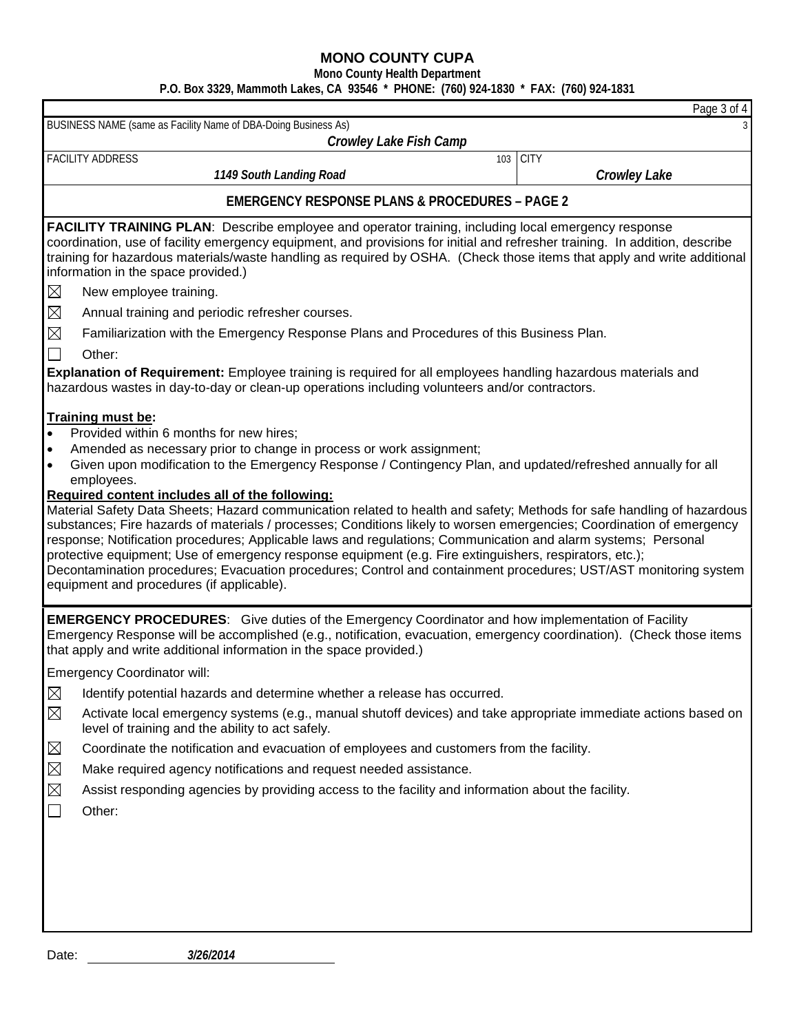**Mono County Health Department**

# **P.O. Box 3329, Mammoth Lakes, CA 93546 \* PHONE: (760) 924-1830 \* FAX: (760) 924-1831**

|                                                                                                                                                                                                                                                                                                                                                                                                                                                                                                                                                                                                                                                                                                                                                                                                                                                                                                                                                                                                                                                                                                                                                                                                                                                                                                                                                                                                                                                                                                                                                                                                                                                                                                                                                                                                                                                                                              | Page 3 of 4         |
|----------------------------------------------------------------------------------------------------------------------------------------------------------------------------------------------------------------------------------------------------------------------------------------------------------------------------------------------------------------------------------------------------------------------------------------------------------------------------------------------------------------------------------------------------------------------------------------------------------------------------------------------------------------------------------------------------------------------------------------------------------------------------------------------------------------------------------------------------------------------------------------------------------------------------------------------------------------------------------------------------------------------------------------------------------------------------------------------------------------------------------------------------------------------------------------------------------------------------------------------------------------------------------------------------------------------------------------------------------------------------------------------------------------------------------------------------------------------------------------------------------------------------------------------------------------------------------------------------------------------------------------------------------------------------------------------------------------------------------------------------------------------------------------------------------------------------------------------------------------------------------------------|---------------------|
| BUSINESS NAME (same as Facility Name of DBA-Doing Business As)                                                                                                                                                                                                                                                                                                                                                                                                                                                                                                                                                                                                                                                                                                                                                                                                                                                                                                                                                                                                                                                                                                                                                                                                                                                                                                                                                                                                                                                                                                                                                                                                                                                                                                                                                                                                                               |                     |
| Crowley Lake Fish Camp<br><b>FACILITY ADDRESS</b><br>103                                                                                                                                                                                                                                                                                                                                                                                                                                                                                                                                                                                                                                                                                                                                                                                                                                                                                                                                                                                                                                                                                                                                                                                                                                                                                                                                                                                                                                                                                                                                                                                                                                                                                                                                                                                                                                     | <b>CITY</b>         |
| 1149 South Landing Road                                                                                                                                                                                                                                                                                                                                                                                                                                                                                                                                                                                                                                                                                                                                                                                                                                                                                                                                                                                                                                                                                                                                                                                                                                                                                                                                                                                                                                                                                                                                                                                                                                                                                                                                                                                                                                                                      | <b>Crowley Lake</b> |
|                                                                                                                                                                                                                                                                                                                                                                                                                                                                                                                                                                                                                                                                                                                                                                                                                                                                                                                                                                                                                                                                                                                                                                                                                                                                                                                                                                                                                                                                                                                                                                                                                                                                                                                                                                                                                                                                                              |                     |
| <b>EMERGENCY RESPONSE PLANS &amp; PROCEDURES - PAGE 2</b>                                                                                                                                                                                                                                                                                                                                                                                                                                                                                                                                                                                                                                                                                                                                                                                                                                                                                                                                                                                                                                                                                                                                                                                                                                                                                                                                                                                                                                                                                                                                                                                                                                                                                                                                                                                                                                    |                     |
| <b>FACILITY TRAINING PLAN:</b> Describe employee and operator training, including local emergency response<br>coordination, use of facility emergency equipment, and provisions for initial and refresher training. In addition, describe<br>training for hazardous materials/waste handling as required by OSHA. (Check those items that apply and write additional<br>information in the space provided.)<br>$\boxtimes$<br>New employee training.<br>$\boxtimes$<br>Annual training and periodic refresher courses.<br>$\boxtimes$<br>Familiarization with the Emergency Response Plans and Procedures of this Business Plan.<br>$\Box$<br>Other:<br>Explanation of Requirement: Employee training is required for all employees handling hazardous materials and<br>hazardous wastes in day-to-day or clean-up operations including volunteers and/or contractors.<br><b>Training must be:</b><br>Provided within 6 months for new hires;<br>$\bullet$<br>Amended as necessary prior to change in process or work assignment;<br>$\bullet$<br>Given upon modification to the Emergency Response / Contingency Plan, and updated/refreshed annually for all<br>$\bullet$<br>employees.<br>Required content includes all of the following:<br>Material Safety Data Sheets; Hazard communication related to health and safety; Methods for safe handling of hazardous<br>substances; Fire hazards of materials / processes; Conditions likely to worsen emergencies; Coordination of emergency<br>response; Notification procedures; Applicable laws and regulations; Communication and alarm systems; Personal<br>protective equipment; Use of emergency response equipment (e.g. Fire extinguishers, respirators, etc.);<br>Decontamination procedures; Evacuation procedures; Control and containment procedures; UST/AST monitoring system<br>equipment and procedures (if applicable). |                     |
| <b>EMERGENCY PROCEDURES:</b> Give duties of the Emergency Coordinator and how implementation of Facility<br>Emergency Response will be accomplished (e.g., notification, evacuation, emergency coordination). (Check those items<br>that apply and write additional information in the space provided.)                                                                                                                                                                                                                                                                                                                                                                                                                                                                                                                                                                                                                                                                                                                                                                                                                                                                                                                                                                                                                                                                                                                                                                                                                                                                                                                                                                                                                                                                                                                                                                                      |                     |
| <b>Emergency Coordinator will:</b>                                                                                                                                                                                                                                                                                                                                                                                                                                                                                                                                                                                                                                                                                                                                                                                                                                                                                                                                                                                                                                                                                                                                                                                                                                                                                                                                                                                                                                                                                                                                                                                                                                                                                                                                                                                                                                                           |                     |
| $\boxtimes$<br>Identify potential hazards and determine whether a release has occurred.                                                                                                                                                                                                                                                                                                                                                                                                                                                                                                                                                                                                                                                                                                                                                                                                                                                                                                                                                                                                                                                                                                                                                                                                                                                                                                                                                                                                                                                                                                                                                                                                                                                                                                                                                                                                      |                     |
| $\boxtimes$<br>Activate local emergency systems (e.g., manual shutoff devices) and take appropriate immediate actions based on<br>level of training and the ability to act safely.                                                                                                                                                                                                                                                                                                                                                                                                                                                                                                                                                                                                                                                                                                                                                                                                                                                                                                                                                                                                                                                                                                                                                                                                                                                                                                                                                                                                                                                                                                                                                                                                                                                                                                           |                     |
| $\boxtimes$<br>Coordinate the notification and evacuation of employees and customers from the facility.                                                                                                                                                                                                                                                                                                                                                                                                                                                                                                                                                                                                                                                                                                                                                                                                                                                                                                                                                                                                                                                                                                                                                                                                                                                                                                                                                                                                                                                                                                                                                                                                                                                                                                                                                                                      |                     |
| $\boxtimes$<br>Make required agency notifications and request needed assistance.                                                                                                                                                                                                                                                                                                                                                                                                                                                                                                                                                                                                                                                                                                                                                                                                                                                                                                                                                                                                                                                                                                                                                                                                                                                                                                                                                                                                                                                                                                                                                                                                                                                                                                                                                                                                             |                     |
| $\boxtimes$<br>Assist responding agencies by providing access to the facility and information about the facility.                                                                                                                                                                                                                                                                                                                                                                                                                                                                                                                                                                                                                                                                                                                                                                                                                                                                                                                                                                                                                                                                                                                                                                                                                                                                                                                                                                                                                                                                                                                                                                                                                                                                                                                                                                            |                     |
| $\Box$<br>Other:                                                                                                                                                                                                                                                                                                                                                                                                                                                                                                                                                                                                                                                                                                                                                                                                                                                                                                                                                                                                                                                                                                                                                                                                                                                                                                                                                                                                                                                                                                                                                                                                                                                                                                                                                                                                                                                                             |                     |
|                                                                                                                                                                                                                                                                                                                                                                                                                                                                                                                                                                                                                                                                                                                                                                                                                                                                                                                                                                                                                                                                                                                                                                                                                                                                                                                                                                                                                                                                                                                                                                                                                                                                                                                                                                                                                                                                                              |                     |
| 3/26/2014<br>Date:                                                                                                                                                                                                                                                                                                                                                                                                                                                                                                                                                                                                                                                                                                                                                                                                                                                                                                                                                                                                                                                                                                                                                                                                                                                                                                                                                                                                                                                                                                                                                                                                                                                                                                                                                                                                                                                                           |                     |